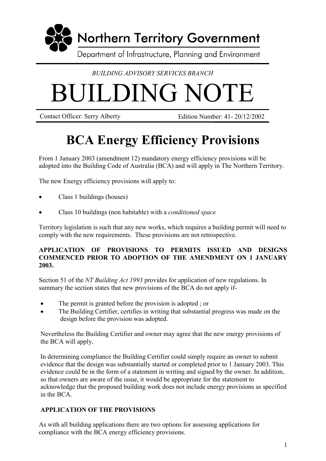

## *BUILDING ADVISORY SERVICES BRANCH*

# BUILDING NOTE

Contact Officer: Serry Alberty Edition Number: 41- 20/12/2002

# **BCA Energy Efficiency Provisions**

From 1 January 2003 (amendment 12) mandatory energy efficiency provisions will be adopted into the Building Code of Australia (BCA) and will apply in The Northern Territory.

The new Energy efficiency provisions will apply to:

- Class 1 buildings (houses)
- Class 10 buildings (non habitable) with a *conditioned space*

Territory legislation is such that any new works, which requires a building permit will need to comply with the new requirements. These provisions are not retrospective.

#### **APPLICATION OF PROVISIONS TO PERMITS ISSUED AND DESIGNS COMMENCED PRIOR TO ADOPTION OF THE AMENDMENT ON 1 JANUARY 2003.**

Section 51 of the *NT Building Act 1993* provides for application of new regulations. In summary the section states that new provisions of the BCA do not apply if-

- The permit is granted before the provision is adopted ; or
- The Building Certifier, certifies in writing that substantial progress was made on the design before the provision was adopted.

Nevertheless the Building Certifier and owner may agree that the new energy provisions of the BCA will apply.

In determining compliance the Building Certifier could simply require an owner to submit evidence that the design was substantially started or completed prior to 1 January 2003. This evidence could be in the form of a statement in writing and signed by the owner. In addition, so that owners are aware of the issue, it would be appropriate for the statement to acknowledge that the proposed building work does not include energy provisions as specified in the BCA.

### **APPLICATION OF THE PROVISIONS**

As with all building applications there are two options for assessing applications for compliance with the BCA energy efficiency provisions.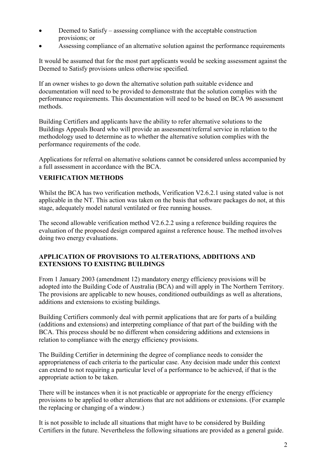- Deemed to Satisfy assessing compliance with the acceptable construction provisions; or
- Assessing compliance of an alternative solution against the performance requirements

It would be assumed that for the most part applicants would be seeking assessment against the Deemed to Satisfy provisions unless otherwise specified.

If an owner wishes to go down the alternative solution path suitable evidence and documentation will need to be provided to demonstrate that the solution complies with the performance requirements. This documentation will need to be based on BCA 96 assessment methods.

Building Certifiers and applicants have the ability to refer alternative solutions to the Buildings Appeals Board who will provide an assessment/referral service in relation to the methodology used to determine as to whether the alternative solution complies with the performance requirements of the code.

Applications for referral on alternative solutions cannot be considered unless accompanied by a full assessment in accordance with the BCA.

#### **VERIFICATION METHODS**

Whilst the BCA has two verification methods, Verification V2.6.2.1 using stated value is not applicable in the NT. This action was taken on the basis that software packages do not, at this stage, adequately model natural ventilated or free running houses.

The second allowable verification method V2.6.2.2 using a reference building requires the evaluation of the proposed design compared against a reference house. The method involves doing two energy evaluations.

#### **APPLICATION OF PROVISIONS TO ALTERATIONS, ADDITIONS AND EXTENSIONS TO EXISTING BUILDINGS**

From 1 January 2003 (amendment 12) mandatory energy efficiency provisions will be adopted into the Building Code of Australia (BCA) and will apply in The Northern Territory. The provisions are applicable to new houses, conditioned outbuildings as well as alterations, additions and extensions to existing buildings.

Building Certifiers commonly deal with permit applications that are for parts of a building (additions and extensions) and interpreting compliance of that part of the building with the BCA. This process should be no different when considering additions and extensions in relation to compliance with the energy efficiency provisions.

The Building Certifier in determining the degree of compliance needs to consider the appropriateness of each criteria to the particular case. Any decision made under this context can extend to not requiring a particular level of a performance to be achieved, if that is the appropriate action to be taken.

There will be instances when it is not practicable or appropriate for the energy efficiency provisions to be applied to other alterations that are not additions or extensions. (For example the replacing or changing of a window.)

It is not possible to include all situations that might have to be considered by Building Certifiers in the future. Nevertheless the following situations are provided as a general guide.